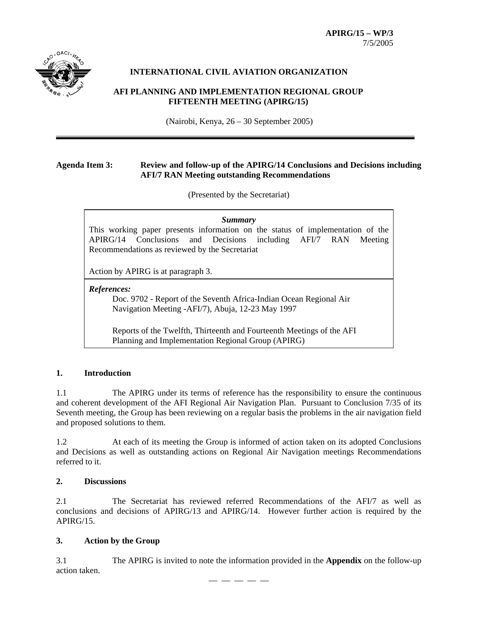

# **INTERNATIONAL CIVIL AVIATION ORGANIZATION**

# **AFI PLANNING AND IMPLEMENTATION REGIONAL GROUP FIFTEENTH MEETING (APIRG/15)**

(Nairobi, Kenya, 26 – 30 September 2005)

# **Agenda Item 3: Review and follow-up of the APIRG/14 Conclusions and Decisions including AFI/7 RAN Meeting outstanding Recommendations**

(Presented by the Secretariat)

*Summary* This working paper presents information on the status of implementation of the APIRG/14 Conclusions and Decisions including AFI/7 RAN Meeting Recommendations as reviewed by the Secretariat

Action by APIRG is at paragraph 3.

#### *References:*

Doc. 9702 - Report of the Seventh Africa-Indian Ocean Regional Air Navigation Meeting -AFI/7), Abuja, 12-23 May 1997

Reports of the Twelfth, Thirteenth and Fourteenth Meetings of the AFI Planning and Implementation Regional Group (APIRG)

## **1. Introduction**

1.1 The APIRG under its terms of reference has the responsibility to ensure the continuous and coherent development of the AFI Regional Air Navigation Plan. Pursuant to Conclusion 7/35 of its Seventh meeting, the Group has been reviewing on a regular basis the problems in the air navigation field and proposed solutions to them.

1.2 At each of its meeting the Group is informed of action taken on its adopted Conclusions and Decisions as well as outstanding actions on Regional Air Navigation meetings Recommendations referred to it.

# **2. Discussions**

2.1 The Secretariat has reviewed referred Recommendations of the AFI/7 as well as conclusions and decisions of APIRG/13 and APIRG/14. However further action is required by the  $APIRG/15$ 

## **3. Action by the Group**

3.1 The APIRG is invited to note the information provided in the **Appendix** on the follow-up action taken. –– –– –– –– ––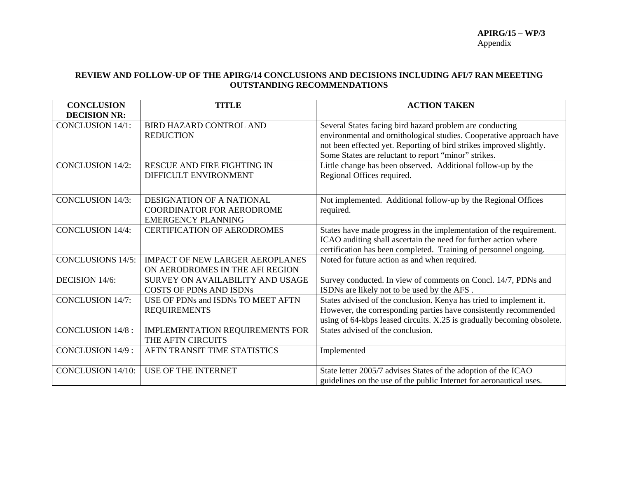#### **REVIEW AND FOLLOW-UP OF THE APIRG/14 CONCLUSIONS AND DECISIONS INCLUDING AFI/7 RAN MEEETING OUTSTANDING RECOMMENDATIONS**

| <b>CONCLUSION</b><br><b>DECISION NR:</b> | <b>TITLE</b>                                                                                      | <b>ACTION TAKEN</b>                                                                                                                                                                                                                                            |
|------------------------------------------|---------------------------------------------------------------------------------------------------|----------------------------------------------------------------------------------------------------------------------------------------------------------------------------------------------------------------------------------------------------------------|
| <b>CONCLUSION 14/1:</b>                  | <b>BIRD HAZARD CONTROL AND</b><br><b>REDUCTION</b>                                                | Several States facing bird hazard problem are conducting<br>environmental and ornithological studies. Cooperative approach have<br>not been effected yet. Reporting of bird strikes improved slightly.<br>Some States are reluctant to report "minor" strikes. |
| <b>CONCLUSION 14/2:</b>                  | <b>RESCUE AND FIRE FIGHTING IN</b><br>DIFFICULT ENVIRONMENT                                       | Little change has been observed. Additional follow-up by the<br>Regional Offices required.                                                                                                                                                                     |
| <b>CONCLUSION 14/3:</b>                  | <b>DESIGNATION OF A NATIONAL</b><br><b>COORDINATOR FOR AERODROME</b><br><b>EMERGENCY PLANNING</b> | Not implemented. Additional follow-up by the Regional Offices<br>required.                                                                                                                                                                                     |
| <b>CONCLUSION 14/4:</b>                  | <b>CERTIFICATION OF AERODROMES</b>                                                                | States have made progress in the implementation of the requirement.<br>ICAO auditing shall ascertain the need for further action where<br>certification has been completed. Training of personnel ongoing.                                                     |
| <b>CONCLUSIONS 14/5:</b>                 | <b>IMPACT OF NEW LARGER AEROPLANES</b><br>ON AERODROMES IN THE AFI REGION                         | Noted for future action as and when required.                                                                                                                                                                                                                  |
| DECISION 14/6:                           | SURVEY ON AVAILABILITY AND USAGE<br><b>COSTS OF PDNs AND ISDNs</b>                                | Survey conducted. In view of comments on Concl. 14/7, PDNs and<br>ISDNs are likely not to be used by the AFS.                                                                                                                                                  |
| <b>CONCLUSION 14/7:</b>                  | USE OF PDNs and ISDNs TO MEET AFTN<br><b>REQUIREMENTS</b>                                         | States advised of the conclusion. Kenya has tried to implement it.<br>However, the corresponding parties have consistently recommended<br>using of 64-kbps leased circuits. X.25 is gradually becoming obsolete.                                               |
| <b>CONCLUSION 14/8:</b>                  | IMPLEMENTATION REQUIREMENTS FOR<br>THE AFTN CIRCUITS                                              | States advised of the conclusion.                                                                                                                                                                                                                              |
| <b>CONCLUSION 14/9:</b>                  | AFTN TRANSIT TIME STATISTICS                                                                      | Implemented                                                                                                                                                                                                                                                    |
| <b>CONCLUSION 14/10:</b>                 | <b>USE OF THE INTERNET</b>                                                                        | State letter 2005/7 advises States of the adoption of the ICAO<br>guidelines on the use of the public Internet for aeronautical uses.                                                                                                                          |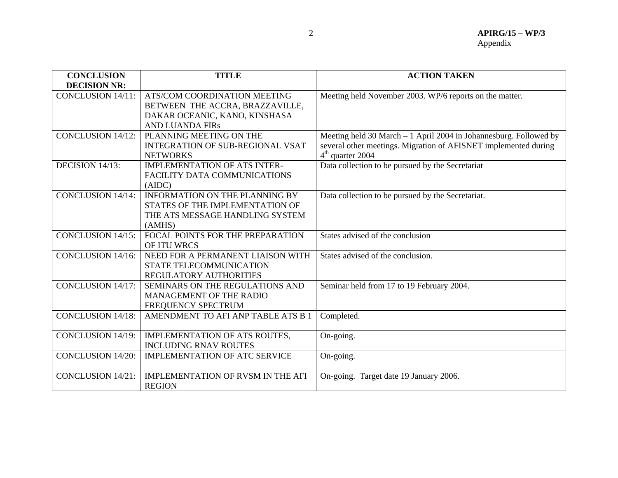| <b>CONCLUSION</b>             | <b>TITLE</b>                            | <b>ACTION TAKEN</b>                                               |
|-------------------------------|-----------------------------------------|-------------------------------------------------------------------|
| <b>DECISION NR:</b>           |                                         |                                                                   |
| <b>CONCLUSION 14/11:</b>      | ATS/COM COORDINATION MEETING            | Meeting held November 2003. WP/6 reports on the matter.           |
|                               | BETWEEN THE ACCRA, BRAZZAVILLE,         |                                                                   |
|                               | DAKAR OCEANIC, KANO, KINSHASA           |                                                                   |
|                               | <b>AND LUANDA FIRS</b>                  |                                                                   |
| <b>CONCLUSION 14/12:</b>      | PLANNING MEETING ON THE                 | Meeting held 30 March - 1 April 2004 in Johannesburg. Followed by |
|                               | <b>INTEGRATION OF SUB-REGIONAL VSAT</b> | several other meetings. Migration of AFISNET implemented during   |
|                               | <b>NETWORKS</b>                         | $4th$ quarter 2004                                                |
| DECISION $14/\overline{13}$ : | <b>IMPLEMENTATION OF ATS INTER-</b>     | Data collection to be pursued by the Secretariat                  |
|                               | FACILITY DATA COMMUNICATIONS            |                                                                   |
|                               | (AIDC)                                  |                                                                   |
| CONCLUSION 14/14:             | <b>INFORMATION ON THE PLANNING BY</b>   | Data collection to be pursued by the Secretariat.                 |
|                               | STATES OF THE IMPLEMENTATION OF         |                                                                   |
|                               | THE ATS MESSAGE HANDLING SYSTEM         |                                                                   |
|                               | (AMHS)                                  |                                                                   |
| <b>CONCLUSION 14/15:</b>      | FOCAL POINTS FOR THE PREPARATION        | States advised of the conclusion                                  |
|                               | OF ITU WRCS                             |                                                                   |
| <b>CONCLUSION 14/16:</b>      | NEED FOR A PERMANENT LIAISON WITH       | States advised of the conclusion.                                 |
|                               | STATE TELECOMMUNICATION                 |                                                                   |
|                               | <b>REGULATORY AUTHORITIES</b>           |                                                                   |
| <b>CONCLUSION 14/17:</b>      | SEMINARS ON THE REGULATIONS AND         | Seminar held from 17 to 19 February 2004.                         |
|                               | <b>MANAGEMENT OF THE RADIO</b>          |                                                                   |
|                               | FREQUENCY SPECTRUM                      |                                                                   |
| <b>CONCLUSION 14/18:</b>      | AMENDMENT TO AFI ANP TABLE ATS B 1      | Completed.                                                        |
|                               |                                         |                                                                   |
| <b>CONCLUSION 14/19:</b>      | IMPLEMENTATION OF ATS ROUTES,           | On-going.                                                         |
|                               | <b>INCLUDING RNAV ROUTES</b>            |                                                                   |
| <b>CONCLUSION 14/20:</b>      | <b>IMPLEMENTATION OF ATC SERVICE</b>    | On-going.                                                         |
|                               |                                         |                                                                   |
| <b>CONCLUSION 14/21:</b>      | IMPLEMENTATION OF RVSM IN THE AFI       | On-going. Target date 19 January 2006.                            |
|                               | <b>REGION</b>                           |                                                                   |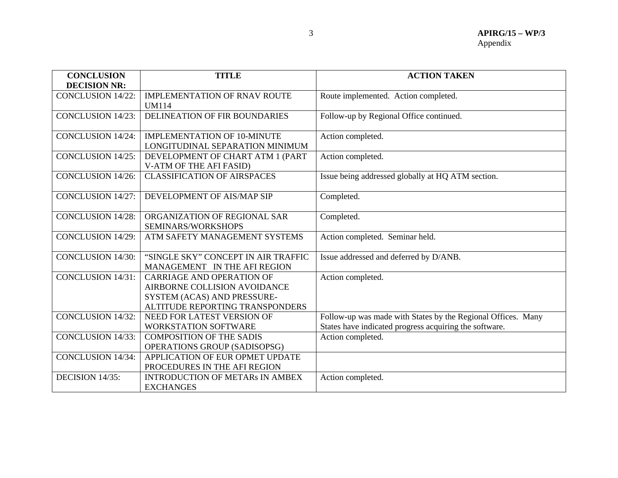| <b>CONCLUSION</b>        | <b>TITLE</b>                           | <b>ACTION TAKEN</b>                                          |
|--------------------------|----------------------------------------|--------------------------------------------------------------|
| <b>DECISION NR:</b>      |                                        |                                                              |
| <b>CONCLUSION 14/22:</b> | <b>IMPLEMENTATION OF RNAV ROUTE</b>    | Route implemented. Action completed.                         |
|                          | <b>UM114</b>                           |                                                              |
| <b>CONCLUSION 14/23:</b> | DELINEATION OF FIR BOUNDARIES          | Follow-up by Regional Office continued.                      |
|                          |                                        |                                                              |
| <b>CONCLUSION 14/24:</b> | <b>IMPLEMENTATION OF 10-MINUTE</b>     | Action completed.                                            |
|                          | LONGITUDINAL SEPARATION MINIMUM        |                                                              |
| <b>CONCLUSION 14/25:</b> | DEVELOPMENT OF CHART ATM 1 (PART       | Action completed.                                            |
|                          | V-ATM OF THE AFI FASID)                |                                                              |
| <b>CONCLUSION 14/26:</b> | <b>CLASSIFICATION OF AIRSPACES</b>     | Issue being addressed globally at HQ ATM section.            |
|                          |                                        |                                                              |
| <b>CONCLUSION 14/27:</b> | DEVELOPMENT OF AIS/MAP SIP             | Completed.                                                   |
|                          |                                        |                                                              |
| <b>CONCLUSION 14/28:</b> | ORGANIZATION OF REGIONAL SAR           | Completed.                                                   |
|                          | <b>SEMINARS/WORKSHOPS</b>              |                                                              |
| <b>CONCLUSION 14/29:</b> | ATM SAFETY MANAGEMENT SYSTEMS          | Action completed. Seminar held.                              |
|                          |                                        |                                                              |
| <b>CONCLUSION 14/30:</b> | "SINGLE SKY" CONCEPT IN AIR TRAFFIC    | Issue addressed and deferred by D/ANB.                       |
|                          | MANAGEMENT IN THE AFI REGION           |                                                              |
| <b>CONCLUSION 14/31:</b> | <b>CARRIAGE AND OPERATION OF</b>       | Action completed.                                            |
|                          | AIRBORNE COLLISION AVOIDANCE           |                                                              |
|                          | SYSTEM (ACAS) AND PRESSURE-            |                                                              |
|                          | ALTITUDE REPORTING TRANSPONDERS        |                                                              |
| <b>CONCLUSION 14/32:</b> | NEED FOR LATEST VERSION OF             | Follow-up was made with States by the Regional Offices. Many |
|                          | <b>WORKSTATION SOFTWARE</b>            | States have indicated progress acquiring the software.       |
| <b>CONCLUSION 14/33:</b> | <b>COMPOSITION OF THE SADIS</b>        | Action completed.                                            |
|                          | <b>OPERATIONS GROUP (SADISOPSG)</b>    |                                                              |
| <b>CONCLUSION 14/34:</b> | APPLICATION OF EUR OPMET UPDATE        |                                                              |
|                          | PROCEDURES IN THE AFI REGION           |                                                              |
| DECISION 14/35:          | <b>INTRODUCTION OF METARS IN AMBEX</b> | Action completed.                                            |
|                          | <b>EXCHANGES</b>                       |                                                              |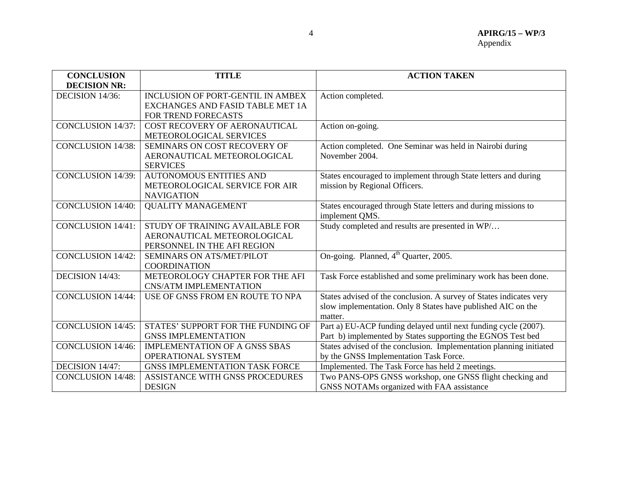| <b>CONCLUSION</b>        | <b>TITLE</b>                             | <b>ACTION TAKEN</b>                                                 |
|--------------------------|------------------------------------------|---------------------------------------------------------------------|
| <b>DECISION NR:</b>      |                                          |                                                                     |
| DECISION 14/36:          | <b>INCLUSION OF PORT-GENTIL IN AMBEX</b> | Action completed.                                                   |
|                          | EXCHANGES AND FASID TABLE MET 1A         |                                                                     |
|                          | FOR TREND FORECASTS                      |                                                                     |
| <b>CONCLUSION 14/37:</b> | COST RECOVERY OF AERONAUTICAL            | Action on-going.                                                    |
|                          | METEOROLOGICAL SERVICES                  |                                                                     |
| <b>CONCLUSION 14/38:</b> | SEMINARS ON COST RECOVERY OF             | Action completed. One Seminar was held in Nairobi during            |
|                          | AERONAUTICAL METEOROLOGICAL              | November 2004.                                                      |
|                          | <b>SERVICES</b>                          |                                                                     |
| <b>CONCLUSION 14/39:</b> | <b>AUTONOMOUS ENTITIES AND</b>           | States encouraged to implement through State letters and during     |
|                          | METEOROLOGICAL SERVICE FOR AIR           | mission by Regional Officers.                                       |
|                          | <b>NAVIGATION</b>                        |                                                                     |
| <b>CONCLUSION 14/40:</b> | <b>QUALITY MANAGEMENT</b>                | States encouraged through State letters and during missions to      |
|                          |                                          | implement QMS.                                                      |
| <b>CONCLUSION 14/41:</b> | STUDY OF TRAINING AVAILABLE FOR          | Study completed and results are presented in WP/                    |
|                          | AERONAUTICAL METEOROLOGICAL              |                                                                     |
|                          | PERSONNEL IN THE AFI REGION              |                                                                     |
| <b>CONCLUSION 14/42:</b> | SEMINARS ON ATS/MET/PILOT                | On-going. Planned, 4 <sup>th</sup> Quarter, 2005.                   |
|                          | <b>COORDINATION</b>                      |                                                                     |
| DECISION 14/43:          | METEOROLOGY CHAPTER FOR THE AFI          | Task Force established and some preliminary work has been done.     |
|                          | <b>CNS/ATM IMPLEMENTATION</b>            |                                                                     |
| <b>CONCLUSION 14/44:</b> | USE OF GNSS FROM EN ROUTE TO NPA         | States advised of the conclusion. A survey of States indicates very |
|                          |                                          | slow implementation. Only 8 States have published AIC on the        |
|                          |                                          | matter.                                                             |
| <b>CONCLUSION 14/45:</b> | STATES' SUPPORT FOR THE FUNDING OF       | Part a) EU-ACP funding delayed until next funding cycle (2007).     |
|                          | <b>GNSS IMPLEMENTATION</b>               | Part b) implemented by States supporting the EGNOS Test bed         |
| <b>CONCLUSION 14/46:</b> | <b>IMPLEMENTATION OF A GNSS SBAS</b>     | States advised of the conclusion. Implementation planning initiated |
|                          | OPERATIONAL SYSTEM                       | by the GNSS Implementation Task Force.                              |
| DECISION 14/47:          | <b>GNSS IMPLEMENTATION TASK FORCE</b>    | Implemented. The Task Force has held 2 meetings.                    |
| <b>CONCLUSION 14/48:</b> | ASSISTANCE WITH GNSS PROCEDURES          | Two PANS-OPS GNSS workshop, one GNSS flight checking and            |
|                          | <b>DESIGN</b>                            | GNSS NOTAMs organized with FAA assistance                           |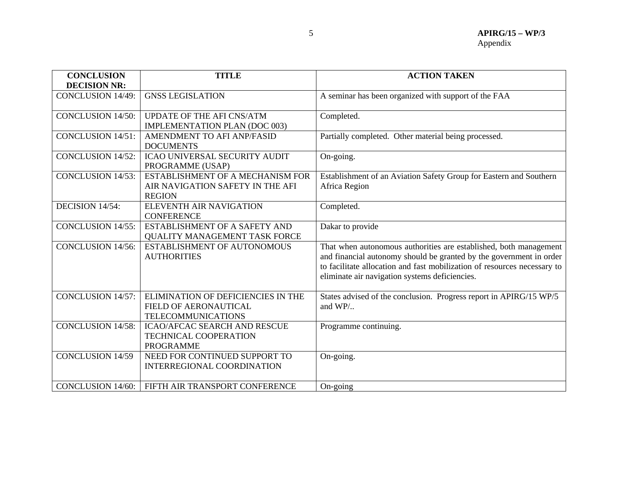| <b>CONCLUSION</b>        | <b>TITLE</b>                                                                                    | <b>ACTION TAKEN</b>                                                                                                                                                                                                                                                    |
|--------------------------|-------------------------------------------------------------------------------------------------|------------------------------------------------------------------------------------------------------------------------------------------------------------------------------------------------------------------------------------------------------------------------|
| <b>DECISION NR:</b>      |                                                                                                 |                                                                                                                                                                                                                                                                        |
| <b>CONCLUSION 14/49:</b> | <b>GNSS LEGISLATION</b>                                                                         | A seminar has been organized with support of the FAA                                                                                                                                                                                                                   |
| <b>CONCLUSION 14/50:</b> | <b>UPDATE OF THE AFI CNS/ATM</b>                                                                | Completed.                                                                                                                                                                                                                                                             |
|                          | <b>IMPLEMENTATION PLAN (DOC 003)</b>                                                            |                                                                                                                                                                                                                                                                        |
| <b>CONCLUSION 14/51:</b> | AMENDMENT TO AFI ANP/FASID<br><b>DOCUMENTS</b>                                                  | Partially completed. Other material being processed.                                                                                                                                                                                                                   |
| <b>CONCLUSION 14/52:</b> | <b>ICAO UNIVERSAL SECURITY AUDIT</b><br>PROGRAMME (USAP)                                        | On-going.                                                                                                                                                                                                                                                              |
| <b>CONCLUSION 14/53:</b> | ESTABLISHMENT OF A MECHANISM FOR<br>AIR NAVIGATION SAFETY IN THE AFI<br><b>REGION</b>           | Establishment of an Aviation Safety Group for Eastern and Southern<br>Africa Region                                                                                                                                                                                    |
| DECISION 14/54:          | <b>ELEVENTH AIR NAVIGATION</b><br><b>CONFERENCE</b>                                             | Completed.                                                                                                                                                                                                                                                             |
| <b>CONCLUSION 14/55:</b> | ESTABLISHMENT OF A SAFETY AND<br><b>QUALITY MANAGEMENT TASK FORCE</b>                           | Dakar to provide                                                                                                                                                                                                                                                       |
| <b>CONCLUSION 14/56:</b> | ESTABLISHMENT OF AUTONOMOUS<br><b>AUTHORITIES</b>                                               | That when autonomous authorities are established, both management<br>and financial autonomy should be granted by the government in order<br>to facilitate allocation and fast mobilization of resources necessary to<br>eliminate air navigation systems deficiencies. |
| <b>CONCLUSION 14/57:</b> | ELIMINATION OF DEFICIENCIES IN THE<br><b>FIELD OF AERONAUTICAL</b><br><b>TELECOMMUNICATIONS</b> | States advised of the conclusion. Progress report in APIRG/15 WP/5<br>and $WP/$                                                                                                                                                                                        |
| <b>CONCLUSION 14/58:</b> | <b>ICAO/AFCAC SEARCH AND RESCUE</b><br><b>TECHNICAL COOPERATION</b><br><b>PROGRAMME</b>         | Programme continuing.                                                                                                                                                                                                                                                  |
| <b>CONCLUSION 14/59</b>  | NEED FOR CONTINUED SUPPORT TO<br><b>INTERREGIONAL COORDINATION</b>                              | On-going.                                                                                                                                                                                                                                                              |
| <b>CONCLUSION 14/60:</b> | FIFTH AIR TRANSPORT CONFERENCE                                                                  | On-going                                                                                                                                                                                                                                                               |